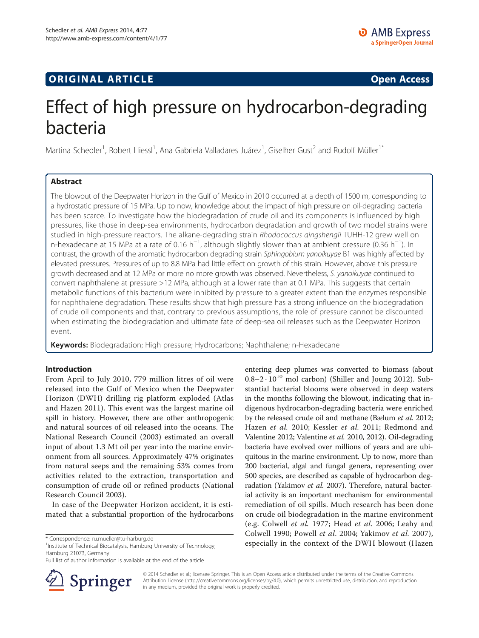## **ORIGINAL ARTICLE CONSERVANCE IN A LOCAL CONSERVANCE IN A LOCAL CONSERVANCE IN A LOCAL CONSERVANCE IN A LOCAL CONSERVANCE IN A LOCAL CONSERVANCE IN A LOCAL CONSERVANCE IN A LOCAL CONSERVANCE IN A LOCAL CONSERVANCE IN A L**

## Effect of high pressure on hydrocarbon-degrading bacteria

Martina Schedler<sup>1</sup>, Robert Hiessl<sup>1</sup>, Ana Gabriela Valladares Juárez<sup>1</sup>, Giselher Gust<sup>2</sup> and Rudolf Müller<sup>1\*</sup>

## Abstract

The blowout of the Deepwater Horizon in the Gulf of Mexico in 2010 occurred at a depth of 1500 m, corresponding to a hydrostatic pressure of 15 MPa. Up to now, knowledge about the impact of high pressure on oil-degrading bacteria has been scarce. To investigate how the biodegradation of crude oil and its components is influenced by high pressures, like those in deep-sea environments, hydrocarbon degradation and growth of two model strains were studied in high-pressure reactors. The alkane-degrading strain Rhodococcus gingshengii TUHH-12 grew well on n-hexadecane at 15 MPa at a rate of 0.16 h<sup>-1</sup>, although slightly slower than at ambient pressure (0.36 h<sup>-1</sup>). In contrast, the growth of the aromatic hydrocarbon degrading strain Sphingobium yanoikuyae B1 was highly affected by elevated pressures. Pressures of up to 8.8 MPa had little effect on growth of this strain. However, above this pressure growth decreased and at 12 MPa or more no more growth was observed. Nevertheless, S. yanoikuyae continued to convert naphthalene at pressure >12 MPa, although at a lower rate than at 0.1 MPa. This suggests that certain metabolic functions of this bacterium were inhibited by pressure to a greater extent than the enzymes responsible for naphthalene degradation. These results show that high pressure has a strong influence on the biodegradation of crude oil components and that, contrary to previous assumptions, the role of pressure cannot be discounted when estimating the biodegradation and ultimate fate of deep-sea oil releases such as the Deepwater Horizon event.

Keywords: Biodegradation; High pressure; Hydrocarbons; Naphthalene; n-Hexadecane

### Introduction

From April to July 2010, 779 million litres of oil were released into the Gulf of Mexico when the Deepwater Horizon (DWH) drilling rig platform exploded (Atlas and Hazen [2011](#page-5-0)). This event was the largest marine oil spill in history. However, there are other anthropogenic and natural sources of oil released into the oceans. The National Research Council ([2003](#page-6-0)) estimated an overall input of about 1.3 Mt oil per year into the marine environment from all sources. Approximately 47% originates from natural seeps and the remaining 53% comes from activities related to the extraction, transportation and consumption of crude oil or refined products (National Research Council [2003\)](#page-6-0).

In case of the Deepwater Horizon accident, it is estimated that a substantial proportion of the hydrocarbons

<sup>1</sup> Institute of Technical Biocatalysis, Hamburg University of Technology, Hamburg 21073, Germany

Full list of author information is available at the end of the article



entering deep plumes was converted to biomass (about  $0.8-2 \cdot 10^{10}$  mol carbon) (Shiller and Joung [2012](#page-6-0)). Substantial bacterial blooms were observed in deep waters in the months following the blowout, indicating that indigenous hydrocarbon-degrading bacteria were enriched by the released crude oil and methane (Bælum et al. [2012](#page-5-0); Hazen et al. [2010](#page-5-0); Kessler et al. [2011;](#page-5-0) Redmond and Valentine [2012](#page-6-0); Valentine et al. [2010](#page-6-0), [2012](#page-6-0)). Oil-degrading bacteria have evolved over millions of years and are ubiquitous in the marine environment. Up to now, more than 200 bacterial, algal and fungal genera, representing over 500 species, are described as capable of hydrocarbon deg-radation (Yakimov et al. [2007\)](#page-6-0). Therefore, natural bacterial activity is an important mechanism for environmental remediation of oil spills. Much research has been done on crude oil biodegradation in the marine environment (e.g. Colwell et al. [1977;](#page-5-0) Head et al. [2006](#page-5-0); Leahy and Colwell [1990](#page-6-0); Powell et al. [2004;](#page-6-0) Yakimov et al. [2007](#page-6-0)), expecially in the context of the DWH blowout (Hazen \* 1999) and the context of the DWH blowout (Hazen \* 1999) and 1999 and 1999 and 1999 and 1999 and 1999 and 1999 and 1999 and 1999 and 1999 and 1999 and 1999 and 1999 and

> © 2014 Schedler et al.; licensee Springer. This is an Open Access article distributed under the terms of the Creative Commons Attribution License [\(http://creativecommons.org/licenses/by/4.0\)](http://creativecommons.org/licenses/by/4.0), which permits unrestricted use, distribution, and reproduction in any medium, provided the original work is properly credited.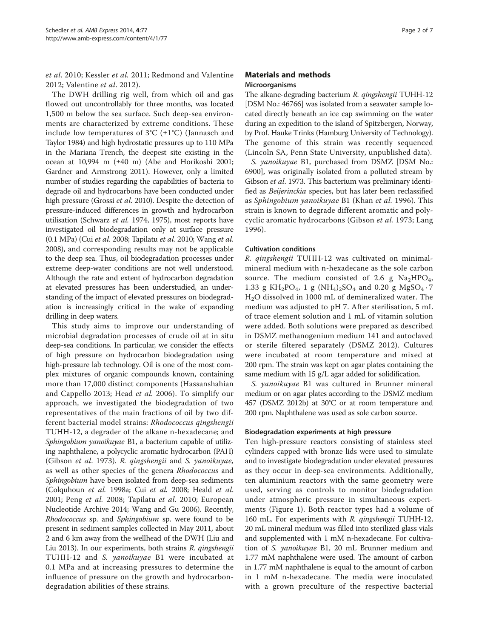et al. [2010;](#page-5-0) Kessler et al. [2011;](#page-5-0) Redmond and Valentine [2012](#page-6-0); Valentine et al. [2012\)](#page-6-0).

The DWH drilling rig well, from which oil and gas flowed out uncontrollably for three months, was located 1,500 m below the sea surface. Such deep-sea environments are characterized by extreme conditions. These include low temperatures of  $3^{\circ}C$  ( $\pm 1^{\circ}C$ ) (Jannasch and Taylor [1984](#page-5-0)) and high hydrostatic pressures up to 110 MPa in the Mariana Trench, the deepest site existing in the ocean at 10,994 m (±40 m) (Abe and Horikoshi [2001](#page-5-0); Gardner and Armstrong [2011](#page-5-0)). However, only a limited number of studies regarding the capabilities of bacteria to degrade oil and hydrocarbons have been conducted under high pressure (Grossi et al. [2010\)](#page-5-0). Despite the detection of pressure-induced differences in growth and hydrocarbon utilisation (Schwarz et al. [1974](#page-6-0), [1975](#page-6-0)), most reports have investigated oil biodegradation only at surface pressure (0.1 MPa) (Cui et al. [2008](#page-5-0); Tapilatu et al. [2010;](#page-6-0) Wang et al. [2008\)](#page-6-0), and corresponding results may not be applicable to the deep sea. Thus, oil biodegradation processes under extreme deep-water conditions are not well understood. Although the rate and extent of hydrocarbon degradation at elevated pressures has been understudied, an understanding of the impact of elevated pressures on biodegradation is increasingly critical in the wake of expanding drilling in deep waters.

This study aims to improve our understanding of microbial degradation processes of crude oil at in situ deep-sea conditions. In particular, we consider the effects of high pressure on hydrocarbon biodegradation using high-pressure lab technology. Oil is one of the most complex mixtures of organic compounds known, containing more than 17,000 distinct components (Hassanshahian and Cappello [2013](#page-5-0); Head et al. [2006](#page-5-0)). To simplify our approach, we investigated the biodegradation of two representatives of the main fractions of oil by two different bacterial model strains: Rhodococcus qingshengii TUHH-12, a degrader of the alkane n-hexadecane; and Sphingobium yanoikuyae B1, a bacterium capable of utilizing naphthalene, a polycyclic aromatic hydrocarbon (PAH) (Gibson et al. [1973\)](#page-5-0). R. qingshengii and S. yanoikuyae, as well as other species of the genera Rhodococcus and Sphingobium have been isolated from deep-sea sediments (Colquhoun et al. [1998a](#page-5-0); Cui et al. [2008;](#page-5-0) Heald et al. [2001;](#page-5-0) Peng et al. [2008;](#page-6-0) Tapilatu et al. [2010](#page-6-0); European Nucleotide Archive [2014](#page-5-0); Wang and Gu [2006](#page-6-0)). Recently, Rhodococcus sp. and Sphingobium sp. were found to be present in sediment samples collected in May 2011, about 2 and 6 km away from the wellhead of the DWH (Liu and Liu [2013](#page-6-0)). In our experiments, both strains R. qingshengii TUHH-12 and S. yanoikuyae B1 were incubated at 0.1 MPa and at increasing pressures to determine the influence of pressure on the growth and hydrocarbondegradation abilities of these strains.

## Materials and methods Microorganisms

The alkane-degrading bacterium R. qingshengii TUHH-12 [DSM No.: 46766] was isolated from a seawater sample located directly beneath an ice cap swimming on the water during an expedition to the island of Spitzbergen, Norway, by Prof. Hauke Trinks (Hamburg University of Technology). The genome of this strain was recently sequenced (Lincoln SA, Penn State University, unpublished data).

S. yanoikuyae B1, purchased from DSMZ [DSM No.: 6900], was originally isolated from a polluted stream by Gibson et al. [1973.](#page-5-0) This bacterium was preliminary identified as Beijerinckia species, but has later been reclassified as Sphingobium yanoikuyae B1 (Khan et al. [1996](#page-5-0)). This strain is known to degrade different aromatic and polycyclic aromatic hydrocarbons (Gibson et al. [1973;](#page-5-0) Lang [1996](#page-6-0)).

#### Cultivation conditions

R. qingshengii TUHH-12 was cultivated on minimalmineral medium with n-hexadecane as the sole carbon source. The medium consisted of 2.6 g  $Na<sub>2</sub>HPO<sub>4</sub>$ , 1.33 g KH<sub>2</sub>PO<sub>4</sub>, 1 g (NH<sub>4</sub>)<sub>2</sub>SO<sub>4</sub> and 0.20 g MgSO<sub>4</sub> · 7 H2O dissolved in 1000 mL of demineralized water. The medium was adjusted to pH 7. After sterilisation, 5 mL of trace element solution and 1 mL of vitamin solution were added. Both solutions were prepared as described in DSMZ methanogenium medium 141 and autoclaved or sterile filtered separately [\(DSMZ 2012](#page-5-0)). Cultures were incubated at room temperature and mixed at 200 rpm. The strain was kept on agar plates containing the same medium with 15 g/L agar added for solidification.

S. yanoikuyae B1 was cultured in Brunner mineral medium or on agar plates according to the DSMZ medium 457 (DSMZ [2012b\)](#page-5-0) at 30°C or at room temperature and 200 rpm. Naphthalene was used as sole carbon source.

#### Biodegradation experiments at high pressure

Ten high-pressure reactors consisting of stainless steel cylinders capped with bronze lids were used to simulate and to investigate biodegradation under elevated pressures as they occur in deep-sea environments. Additionally, ten aluminium reactors with the same geometry were used, serving as controls to monitor biodegradation under atmospheric pressure in simultaneous experiments (Figure [1\)](#page-2-0). Both reactor types had a volume of 160 mL. For experiments with R. qingshengii TUHH-12, 20 mL mineral medium was filled into sterilized glass vials and supplemented with 1 mM n-hexadecane. For cultivation of S. yanoikuyae B1, 20 mL Brunner medium and 1.77 mM naphthalene were used. The amount of carbon in 1.77 mM naphthalene is equal to the amount of carbon in 1 mM n-hexadecane. The media were inoculated with a grown preculture of the respective bacterial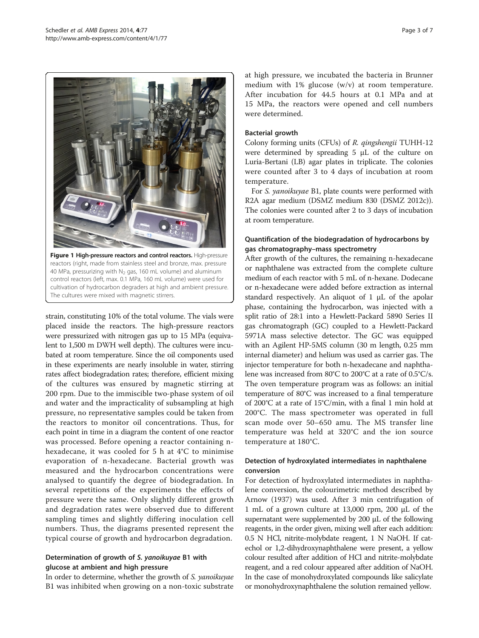<span id="page-2-0"></span>

Figure 1 High-pressure reactors and control reactors. High-pressure reactors (right, made from stainless steel and bronze, max. pressure 40 MPa, pressurizing with  $N_2$  gas, 160 mL volume) and aluminum control reactors (left, max. 0.1 MPa, 160 mL volume) were used for cultivation of hydrocarbon degraders at high and ambient pressure. The cultures were mixed with magnetic stirrers.

strain, constituting 10% of the total volume. The vials were placed inside the reactors. The high-pressure reactors were pressurized with nitrogen gas up to 15 MPa (equivalent to 1,500 m DWH well depth). The cultures were incubated at room temperature. Since the oil components used in these experiments are nearly insoluble in water, stirring rates affect biodegradation rates; therefore, efficient mixing of the cultures was ensured by magnetic stirring at 200 rpm. Due to the immiscible two-phase system of oil and water and the impracticality of subsampling at high pressure, no representative samples could be taken from the reactors to monitor oil concentrations. Thus, for each point in time in a diagram the content of one reactor was processed. Before opening a reactor containing nhexadecane, it was cooled for 5 h at 4°C to minimise evaporation of n-hexadecane. Bacterial growth was measured and the hydrocarbon concentrations were analysed to quantify the degree of biodegradation. In several repetitions of the experiments the effects of pressure were the same. Only slightly different growth and degradation rates were observed due to different sampling times and slightly differing inoculation cell numbers. Thus, the diagrams presented represent the typical course of growth and hydrocarbon degradation.

## Determination of growth of S. yanoikuyae B1 with glucose at ambient and high pressure

In order to determine, whether the growth of S. yanoikuyae B1 was inhibited when growing on a non-toxic substrate at high pressure, we incubated the bacteria in Brunner medium with 1% glucose (w/v) at room temperature. After incubation for 44.5 hours at 0.1 MPa and at 15 MPa, the reactors were opened and cell numbers were determined.

## Bacterial growth

Colony forming units (CFUs) of R. qingshengii TUHH-12 were determined by spreading 5 μL of the culture on Luria-Bertani (LB) agar plates in triplicate. The colonies were counted after 3 to 4 days of incubation at room temperature.

For S. yanoikuyae B1, plate counts were performed with R2A agar medium (DSMZ medium 830 (DSMZ [2012c](#page-5-0))). The colonies were counted after 2 to 3 days of incubation at room temperature.

## Quantification of the biodegradation of hydrocarbons by gas chromatography–mass spectrometry

After growth of the cultures, the remaining n-hexadecane or naphthalene was extracted from the complete culture medium of each reactor with 5 mL of n-hexane. Dodecane or n-hexadecane were added before extraction as internal standard respectively. An aliquot of 1 μL of the apolar phase, containing the hydrocarbon, was injected with a split ratio of 28:1 into a Hewlett-Packard 5890 Series II gas chromatograph (GC) coupled to a Hewlett-Packard 5971A mass selective detector. The GC was equipped with an Agilent HP-5MS column (30 m length, 0.25 mm internal diameter) and helium was used as carrier gas. The injector temperature for both n-hexadecane and naphthalene was increased from 80°C to 200°C at a rate of 0.5°C/s. The oven temperature program was as follows: an initial temperature of 80°C was increased to a final temperature of 200°C at a rate of 15°C/min, with a final 1 min hold at 200°C. The mass spectrometer was operated in full scan mode over 50–650 amu. The MS transfer line temperature was held at 320°C and the ion source temperature at 180°C.

## Detection of hydroxylated intermediates in naphthalene conversion

For detection of hydroxylated intermediates in naphthalene conversion, the colourimetric method described by Arnow [\(1937](#page-5-0)) was used. After 3 min centrifugation of 1 mL of a grown culture at 13,000 rpm, 200 μL of the supernatant were supplemented by 200 μL of the following reagents, in the order given, mixing well after each addition: 0.5 N HCl, nitrite-molybdate reagent, 1 N NaOH. If catechol or 1,2-dihydroxynaphthalene were present, a yellow colour resulted after addition of HCl and nitrite-molybdate reagent, and a red colour appeared after addition of NaOH. In the case of monohydroxylated compounds like salicylate or monohydroxynaphthalene the solution remained yellow.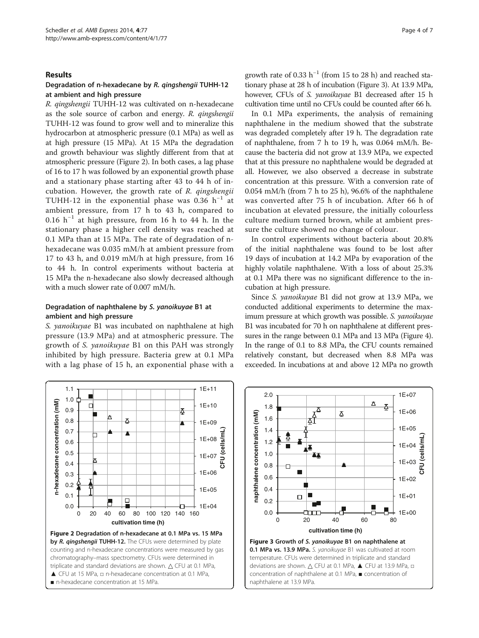#### Results

1.1

### Degradation of n-hexadecane by R. qingshengii TUHH-12 at ambient and high pressure

R. qingshengii TUHH-12 was cultivated on n-hexadecane as the sole source of carbon and energy. R. qingshengii TUHH-12 was found to grow well and to mineralize this hydrocarbon at atmospheric pressure (0.1 MPa) as well as at high pressure (15 MPa). At 15 MPa the degradation and growth behaviour was slightly different from that at atmospheric pressure (Figure 2). In both cases, a lag phase of 16 to 17 h was followed by an exponential growth phase and a stationary phase starting after 43 to 44 h of incubation. However, the growth rate of R. qingshengii TUHH-12 in the exponential phase was 0.36  $h^{-1}$  at ambient pressure, from 17 h to 43 h, compared to 0.16 h<sup>-1</sup> at high pressure, from 16 h to 44 h. In the stationary phase a higher cell density was reached at 0.1 MPa than at 15 MPa. The rate of degradation of nhexadecane was 0.035 mM/h at ambient pressure from 17 to 43 h, and 0.019 mM/h at high pressure, from 16 to 44 h. In control experiments without bacteria at 15 MPa the n-hexadecane also slowly decreased although with a much slower rate of 0.007 mM/h.

## Degradation of naphthalene by S. yanoikuyae B1 at ambient and high pressure

S. yanoikuyae B1 was incubated on naphthalene at high pressure (13.9 MPa) and at atmospheric pressure. The growth of S. yanoikuyae B1 on this PAH was strongly inhibited by high pressure. Bacteria grew at 0.1 MPa with a lag phase of 15 h, an exponential phase with a

1E+11

growth rate of 0.33  $h^{-1}$  (from 15 to 28 h) and reached stationary phase at 28 h of incubation (Figure 3). At 13.9 MPa, however, CFUs of S. yanoikuyae B1 decreased after 15 h cultivation time until no CFUs could be counted after 66 h.

In 0.1 MPa experiments, the analysis of remaining naphthalene in the medium showed that the substrate was degraded completely after 19 h. The degradation rate of naphthalene, from 7 h to 19 h, was 0.064 mM/h. Because the bacteria did not grow at 13.9 MPa, we expected that at this pressure no naphthalene would be degraded at all. However, we also observed a decrease in substrate concentration at this pressure. With a conversion rate of 0.054 mM/h (from 7 h to 25 h), 96.6% of the naphthalene was converted after 75 h of incubation. After 66 h of incubation at elevated pressure, the initially colourless culture medium turned brown, while at ambient pressure the culture showed no change of colour.

In control experiments without bacteria about 20.8% of the initial naphthalene was found to be lost after 19 days of incubation at 14.2 MPa by evaporation of the highly volatile naphthalene. With a loss of about 25.3% at 0.1 MPa there was no significant difference to the incubation at high pressure.

Since S. yanoikuyae B1 did not grow at 13.9 MPa, we conducted additional experiments to determine the maximum pressure at which growth was possible. S. yanoikuyae B1 was incubated for 70 h on naphthalene at different pressures in the range between 0.1 MPa and 13 MPa (Figure [4](#page-4-0)). In the range of 0.1 to 8.8 MPa, the CFU counts remained relatively constant, but decreased when 8.8 MPa was exceeded. In incubations at and above 12 MPa no growth



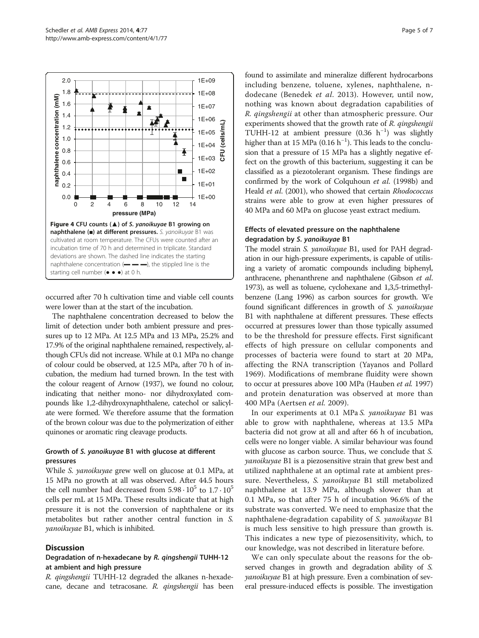<span id="page-4-0"></span>

occurred after 70 h cultivation time and viable cell counts were lower than at the start of the incubation.

The naphthalene concentration decreased to below the limit of detection under both ambient pressure and pressures up to 12 MPa. At 12.5 MPa and 13 MPa, 25.2% and 17.9% of the original naphthalene remained, respectively, although CFUs did not increase. While at 0.1 MPa no change of colour could be observed, at 12.5 MPa, after 70 h of incubation, the medium had turned brown. In the test with the colour reagent of Arnow [\(1937](#page-5-0)), we found no colour, indicating that neither mono- nor dihydroxylated compounds like 1,2-dihydroxynaphthalene, catechol or salicylate were formed. We therefore assume that the formation of the brown colour was due to the polymerization of either quinones or aromatic ring cleavage products.

## Growth of S. yanoikuyae B1 with glucose at different pressures

While S. yanoikuyae grew well on glucose at 0.1 MPa, at 15 MPa no growth at all was observed. After 44.5 hours the cell number had decreased from  $5.98 \cdot 10^5$  to  $1.7 \cdot 10^5$ cells per mL at 15 MPa. These results indicate that at high pressure it is not the conversion of naphthalene or its metabolites but rather another central function in S. yanoikuyae B1, which is inhibited.

#### **Discussion**

## Degradation of n-hexadecane by R. qingshengii TUHH-12 at ambient and high pressure

R. qingshengii TUHH-12 degraded the alkanes n-hexadecane, decane and tetracosane. R. qingshengii has been found to assimilate and mineralize different hydrocarbons including benzene, toluene, xylenes, naphthalene, ndodecane (Benedek et al. [2013](#page-5-0)). However, until now, nothing was known about degradation capabilities of R. qingshengii at other than atmospheric pressure. Our experiments showed that the growth rate of R. qingshengii TUHH-12 at ambient pressure (0.36 h−<sup>1</sup> ) was slightly higher than at 15 MPa ( $0.16 h^{-1}$ ). This leads to the conclusion that a pressure of 15 MPa has a slightly negative effect on the growth of this bacterium, suggesting it can be classified as a piezotolerant organism. These findings are confirmed by the work of Colquhoun et al. [\(1998b\)](#page-5-0) and Heald et al. [\(2001](#page-5-0)), who showed that certain Rhodococcus strains were able to grow at even higher pressures of 40 MPa and 60 MPa on glucose yeast extract medium.

### Effects of elevated pressure on the naphthalene degradation by S. yanoikuyae B1

The model strain S. yanoikuyae B1, used for PAH degradation in our high-pressure experiments, is capable of utilising a variety of aromatic compounds including biphenyl, anthracene, phenanthrene and naphthalene (Gibson et al. [1973\)](#page-5-0), as well as toluene, cyclohexane and 1,3,5-trimethylbenzene (Lang [1996\)](#page-6-0) as carbon sources for growth. We found significant differences in growth of S. yanoikuyae B1 with naphthalene at different pressures. These effects occurred at pressures lower than those typically assumed to be the threshold for pressure effects. First significant effects of high pressure on cellular components and processes of bacteria were found to start at 20 MPa, affecting the RNA transcription (Yayanos and Pollard [1969\)](#page-6-0). Modifications of membrane fluidity were shown to occur at pressures above 100 MPa (Hauben et al. [1997](#page-5-0)) and protein denaturation was observed at more than 400 MPa (Aertsen et al. [2009](#page-5-0)).

In our experiments at 0.1 MPa S. yanoikuyae B1 was able to grow with naphthalene, whereas at 13.5 MPa bacteria did not grow at all and after 66 h of incubation, cells were no longer viable. A similar behaviour was found with glucose as carbon source. Thus, we conclude that S. yanoikuyae B1 is a piezosensitive strain that grew best and utilized naphthalene at an optimal rate at ambient pressure. Nevertheless, S. yanoikuyae B1 still metabolized naphthalene at 13.9 MPa, although slower than at 0.1 MPa, so that after 75 h of incubation 96.6% of the substrate was converted. We need to emphasize that the naphthalene-degradation capability of S. yanoikuyae B1 is much less sensitive to high pressure than growth is. This indicates a new type of piezosensitivity, which, to our knowledge, was not described in literature before.

We can only speculate about the reasons for the observed changes in growth and degradation ability of S. yanoikuyae B1 at high pressure. Even a combination of several pressure-induced effects is possible. The investigation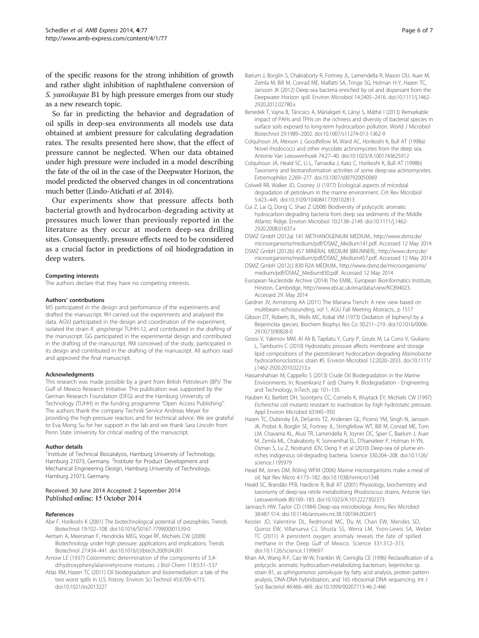<span id="page-5-0"></span>of the specific reasons for the strong inhibition of growth and rather slight inhibition of naphthalene conversion of S. yanoikuyae B1 by high pressure emerges from our study as a new research topic.

So far in predicting the behavior and degradation of oil spills in deep-sea environments all models use data obtained at ambient pressure for calculating degradation rates. The results presented here show, that the effect of pressure cannot be neglected. When our data obtained under high pressure were included in a model describing the fate of the oil in the case of the Deepwater Horizon, the model predicted the observed changes in oil concentrations much better (Lindo-Atichati et al. [2014\)](#page-6-0).

Our experiments show that pressure affects both bacterial growth and hydrocarbon-degrading activity at pressures much lower than previously reported in the literature as they occur at modern deep-sea drilling sites. Consequently, pressure effects need to be considered as a crucial factor in predictions of oil biodegradation in deep waters.

#### Competing interests

The authors declare that they have no competing interests.

#### Authors' contributions

MS participated in the design and performance of the experiments and drafted the manuscript. RH carried out the experiments and analysed the data. AGVJ participated in the design and coordination of the experiment, isolated the strain R. qingshengii TUHH-12, and contributed in the drafting of the manuscript. GG participated in the experimental design and contributed in the drafting of the manuscript. RM conceived of the study, participated in its design and contributed in the drafting of the manuscript. All authors read and approved the final manuscript.

#### Acknowledgments

This research was made possible by a grant from British Petroleum (BP)/ The Gulf of Mexico Research Initiative. This publication was supported by the German Research Foundation (DFG) and the Hamburg University of Technology (TUHH) in the funding programme "Open Access Publishing". The authors thank the company Technik Service Andreas Meyer for providing the high-pressure reactors and for technical advice. We are grateful to Eva Mong Su for her support in the lab and we thank Sara Lincoln from Penn State University for critical reading of the manuscript.

#### Author details

<sup>1</sup>Institute of Technical Biocatalysis, Hamburg University of Technology, Hamburg 21073, Germany. <sup>2</sup>Institute for Product Development and Mechanical Engineering Design, Hamburg University of Technology, Hamburg 21073, Germany.

#### Received: 30 June 2014 Accepted: 2 September 2014 Published online: 15 October 2014

#### References

- Abe F, Horikoshi K (2001) The biotechnological potential of piezophiles. Trends Biotechnol 19:102–108. doi:10.1016/S0167-7799(00)01539-0
- Aertsen A, Meersman F, Hendrickx MEG, Vogel RF, Michiels CW (2009) Biotechnology under high pressure: applications and implications. Trends Biotechnol 27:434–441. doi:10.1016/j.tibtech.2009.04.001
- Arnow LE (1937) Colorimetric determination of the components of 3,4 dihydroxyphenylalaninetyrosine mixtures. J Biol Chem 118:531–537
- Atlas RM, Hazen TC (2011) Oil biodegradation and bioremediation: a tale of the two worst spills in U.S. history. Environ Sci Technol 45:6709–6715. doi:10.1021/es2013227
- Bælum J, Borglin S, Chakraborty R, Fortney JL, Lamendella R, Mason OU, Auer M, Zemla M, Bill M, Conrad ME, Malfatti SA, Tringe SG, Holman H-Y, Hazen TC, Jansson JK (2012) Deep-sea bacteria enriched by oil and dispersant from the Deepwater Horizon spill. Environ Microbiol 14:2405–2416. doi:10.1111/j.1462- 2920.2012.02780.x
- Benedek T, Vajna B, Táncsics A, Márialigeti K, Lányi S, Máthé I (2013) Remarkable impact of PAHs and TPHs on the richness and diversity of bacterial species in surface soils exposed to long-term hydrocarbon pollution. World J Microbiol Biotechnol 29:1989–2002. doi:10.1007/s11274-013-1362-9
- Colquhoun JA, Mexson J, Goodfellow M, Ward AC, Horikoshi K, Bull AT (1998a) Novel rhodococci and other mycolate actinomycetes from the deep sea. Antonie Van Leeuwenhoek 74:27–40. doi:10.1023/A:1001743625912
- Colquhoun JA, Heald SC, Li L, Tamaoka J, Kato C, Horikoshi K, Bull AT (1998b) Taxonomy and biotransformation activities of some deep-sea actinomycetes. Extremophiles 2:269–277. doi:10.1007/s007920050069
- Colwell RR, Walker JD, Cooney JJ (1977) Ecological aspects of microbial degradation of petroleum in the marine environment. Crit Rev Microbiol 5:423–445. doi:10.3109/10408417709102813
- Cui Z, Lai Q, Dong C, Shao Z (2008) Biodiversity of polycyclic aromatic hydrocarbon-degrading bacteria from deep sea sediments of the Middle Atlantic Ridge. Environ Microbiol 10:2138–2149. doi:10.1111/j.1462- 2920.2008.01637.x
- DSMZ GmbH (2012a) 141 METHANOGENIUM MEDIUM., [http://www.dsmz.de/](http://www.dsmz.de/microorganisms/medium/pdf/DSMZ_Medium141.pdf) [microorganisms/medium/pdf/DSMZ\\_Medium141.pdf.](http://www.dsmz.de/microorganisms/medium/pdf/DSMZ_Medium141.pdf) Accessed 12 May 2014
- DSMZ GmbH (2012b) 457 MINERAL MEDIUM (BRUNNER)., [http://www.dsmz.de/](http://www.dsmz.de/microorganisms/medium/pdf/DSMZ_Medium457.pdf) [microorganisms/medium/pdf/DSMZ\\_Medium457.pdf.](http://www.dsmz.de/microorganisms/medium/pdf/DSMZ_Medium457.pdf) Accessed 12 May 2014
- DSMZ GmbH (2012c) 830 R2A MEDIUM., [http://www.dsmz.de/microorganisms/](http://www.dsmz.de/microorganisms/medium/pdf/DSMZ_Medium830.pdf) [medium/pdf/DSMZ\\_Medium830.pdf.](http://www.dsmz.de/microorganisms/medium/pdf/DSMZ_Medium830.pdf) Accessed 12 May 2014
- European Nucleotide Archive (2014) The EMBL. European Bioinformatics Institute, Hinxton, Cambridge, [http://www.ebi.ac.uk/ena/data/view/KC894023.](http://www.ebi.ac.uk/ena/data/view/KC894023) Accessed 29. May 2014
- Gardner JV, Armstrong AA (2011) The Mariana Trench: A new view based on multibeam echosounding, vol 1, AGU Fall Meeting Abstracts., p 1517
- Gibson DT, Roberts RL, Wells MC, Kobal VM (1973) Oxidation of biphenyl by a Beijerinckia species. Biochem Biophys Res Co 50:211–219. doi:10.1016/0006- 291X(73)90828-0
- Grossi V, Yakimov MM, Al Ali B, Tapilatu Y, Cuny P, Goutx M, La Cono V, Giuliano L, Tamburini C (2010) Hydrostatic pressure affects membrane and storage lipid compositions of the piezotolerant hydrocarbon-degrading Marinobacter hydrocarbonoclasticus strain #5. Environ Microbiol 12:2020–2033. doi:10.1111/ j.1462-2920.2010.02213.x
- Hassanshahian M, Cappello S (2013) Crude Oil Biodegradation in the Marine Environments. In: Rosenkranz F (ed) Chamy R. Biodegradation - Engineering and Technology, InTech, pp 101–135
- Hauben KJ, Bartlett DH, Soontjens CC, Cornelis K, Wuytack EY, Michiels CW (1997) Escherichia coli mutants resistant to inactivation by high hydrostatic pressure. Appl Environ Microbiol 63:945–950
- Hazen TC, Dubinsky EA, DeSantis TZ, Andersen GL, Piceno YM, Singh N, Jansson JK, Probst A, Borglin SE, Fortney JL, Stringfellow WT, Bill M, Conrad ME, Tom LM, Chavarria KL, Alusi TR, Lamendella R, Joyner DC, Spier C, Baelum J, Auer M, Zemla ML, Chakraborty R, Sonnenthal EL, D'haeseleer P, Holman H-YN, Osman S, Lu Z, Nostrand JDV, Deng Y et al (2010) Deep-sea oil plume enriches indigenous oil-degrading bacteria. Science 330:204–208. doi:10.1126/ science.1195979
- Head IM, Jones DM, Röling WFM (2006) Marine microorganisms make a meal of oil. Nat Rev Micro 4:173–182. doi:10.1038/nrmicro1348
- Heald SC, Brandão PFB, Hardicre R, Bull AT (2001) Physiology, biochemistry and taxonomy of deep-sea nitrile metabolising Rhodococcus strains. Antonie Van Leeuwenhoek 80:169–183. doi:10.1023/A:1012227302373
- Jannasch HW, Taylor CD (1984) Deep-sea microbiology. Annu Rev Microbiol 38:487-514. doi:10.1146/annurev.mi.38.100184.002415
- Kessler JD, Valentine DL, Redmond MC, Du M, Chan EW, Mendes SD, Quiroz EW, Villanueva CJ, Shusta SS, Werra LM, Yvon-Lewis SA, Weber TC (2011) A persistent oxygen anomaly reveals the fate of spilled methane in the Deep Gulf of Mexico. Science 331:312–315. doi:10.1126/science.1199697
- Khan AA, Wang R-F, Cao W-W, Franklin W, Cerniglia CE (1996) Reclassification of a polycyclic aromatic hydrocarbon-metabolizing bacterium, beijerinckia sp. strain B1, as sphingomonas yanoikuyae by fatty acid analysis, protein pattern analysis, DNA-DNA hybridization, and 16S ribosomal DNA sequencing. Int J Syst Bacteriol 46:466–469. doi:10.1099/00207713-46-2-466